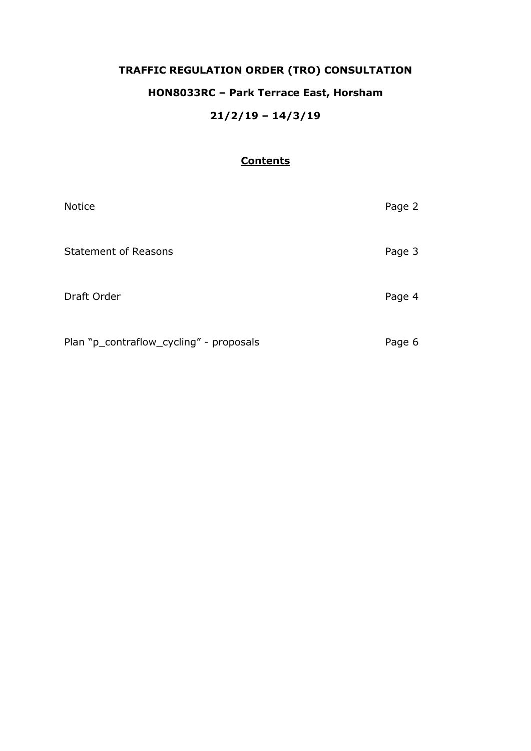# **TRAFFIC REGULATION ORDER (TRO) CONSULTATION HON8033RC – Park Terrace East, Horsham 21/2/19 – 14/3/19**

# **Contents**

| <b>Notice</b>                           | Page 2 |
|-----------------------------------------|--------|
| <b>Statement of Reasons</b>             | Page 3 |
| Draft Order                             | Page 4 |
| Plan "p_contraflow_cycling" - proposals | Page 6 |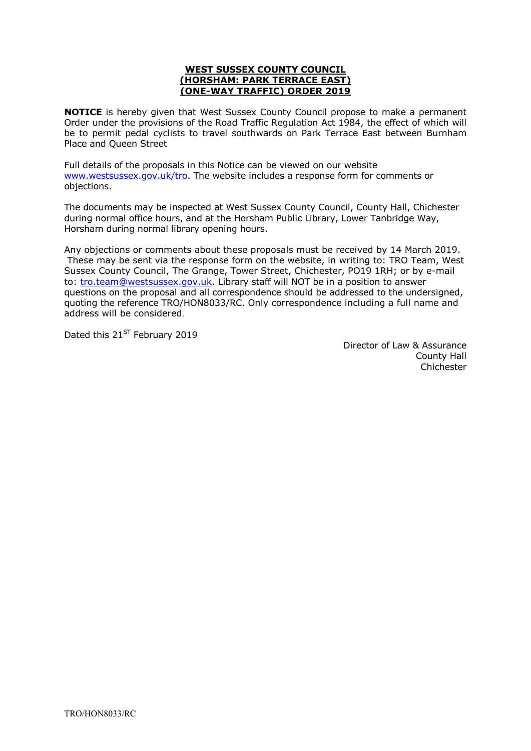#### **WEST SUSSEX COUNTY COUNCIL (HORSHAM: PARK TERRACE EAST) (ONE-WAY TRAFFIC) ORDER 2019**

**NOTICE** is hereby given that West Sussex County Council propose to make a permanent Order under the provisions of the Road Traffic Regulation Act 1984, the effect of which will be to permit pedal cyclists to travel southwards on Park Terrace East between Burnham Place and Queen Street

Full details of the proposals in this Notice can be viewed on our website [www.westsussex.gov.uk/tro.](http://www.westsussex.gov.uk/tro) The website includes a response form for comments or objections.

The documents may be inspected at West Sussex County Council, County Hall, Chichester during normal office hours, and at the Horsham Public Library, Lower Tanbridge Way, Horsham during normal library opening hours.

Any objections or comments about these proposals must be received by 14 March 2019. These may be sent via the response form on the website, in writing to: TRO Team, West Sussex County Council, The Grange, Tower Street, Chichester, PO19 1RH; or by e-mail to: [tro.team@westsussex.gov.uk.](mailto:tro.team@westsussex.gov.uk) Library staff will NOT be in a position to answer questions on the proposal and all correspondence should be addressed to the undersigned, quoting the reference TRO/HON8033/RC. Only correspondence including a full name and address will be considered.

Dated this  $21^{ST}$  February 2019

 Director of Law & Assurance County Hall Chichester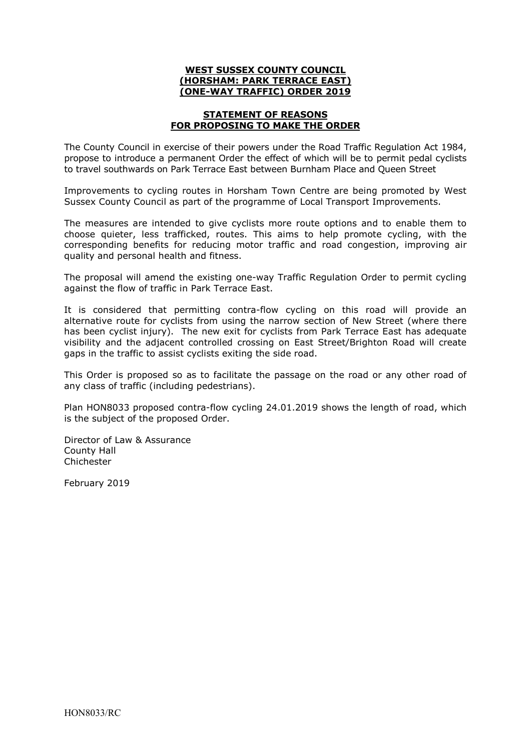# **WEST SUSSEX COUNTY COUNCIL (HORSHAM: PARK TERRACE EAST) (ONE-WAY TRAFFIC) ORDER 2019**

# **STATEMENT OF REASONS FOR PROPOSING TO MAKE THE ORDER**

The County Council in exercise of their powers under the Road Traffic Regulation Act 1984, propose to introduce a permanent Order the effect of which will be to permit pedal cyclists to travel southwards on Park Terrace East between Burnham Place and Queen Street

Improvements to cycling routes in Horsham Town Centre are being promoted by West Sussex County Council as part of the programme of Local Transport Improvements.

The measures are intended to give cyclists more route options and to enable them to choose quieter, less trafficked, routes. This aims to help promote cycling, with the corresponding benefits for reducing motor traffic and road congestion, improving air quality and personal health and fitness.

The proposal will amend the existing one-way Traffic Regulation Order to permit cycling against the flow of traffic in Park Terrace East.

It is considered that permitting contra-flow cycling on this road will provide an alternative route for cyclists from using the narrow section of New Street (where there has been cyclist injury). The new exit for cyclists from Park Terrace East has adequate visibility and the adjacent controlled crossing on East Street/Brighton Road will create gaps in the traffic to assist cyclists exiting the side road.

This Order is proposed so as to facilitate the passage on the road or any other road of any class of traffic (including pedestrians).

Plan HON8033 proposed contra-flow cycling 24.01.2019 shows the length of road, which is the subject of the proposed Order.

Director of Law & Assurance County Hall Chichester

February 2019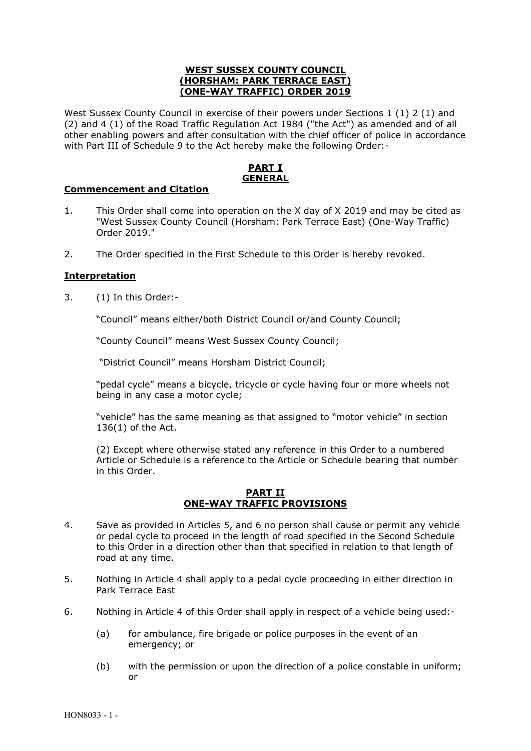# **WEST SUSSEX COUNTY COUNCIL (HORSHAM: PARK TERRACE EAST) (ONE-WAY TRAFFIC) ORDER 2019**

West Sussex County Council in exercise of their powers under Sections 1 (1) 2 (1) and (2) and 4 (1) of the Road Traffic Regulation Act 1984 ("the Act") as amended and of all other enabling powers and after consultation with the chief officer of police in accordance with Part III of Schedule 9 to the Act hereby make the following Order:-

# **PART I GENERAL**

# **Commencement and Citation**

- 1. This Order shall come into operation on the X day of X 2019 and may be cited as "West Sussex County Council (Horsham: Park Terrace East) (One-Way Traffic) Order 2019."
- 2. The Order specified in the First Schedule to this Order is hereby revoked.

# **Interpretation**

3. (1) In this Order:-

"Council" means either/both District Council or/and County Council;

"County Council" means West Sussex County Council;

"District Council" means Horsham District Council;

"pedal cycle" means a bicycle, tricycle or cycle having four or more wheels not being in any case a motor cycle;

"vehicle" has the same meaning as that assigned to "motor vehicle" in section 136(1) of the Act.

(2) Except where otherwise stated any reference in this Order to a numbered Article or Schedule is a reference to the Article or Schedule bearing that number in this Order.

#### **PART II ONE-WAY TRAFFIC PROVISIONS**

- 4. Save as provided in Articles 5, and 6 no person shall cause or permit any vehicle or pedal cycle to proceed in the length of road specified in the Second Schedule to this Order in a direction other than that specified in relation to that length of road at any time.
- 5. Nothing in Article 4 shall apply to a pedal cycle proceeding in either direction in Park Terrace East
- 6. Nothing in Article 4 of this Order shall apply in respect of a vehicle being used:-
	- (a) for ambulance, fire brigade or police purposes in the event of an emergency; or
	- (b) with the permission or upon the direction of a police constable in uniform; or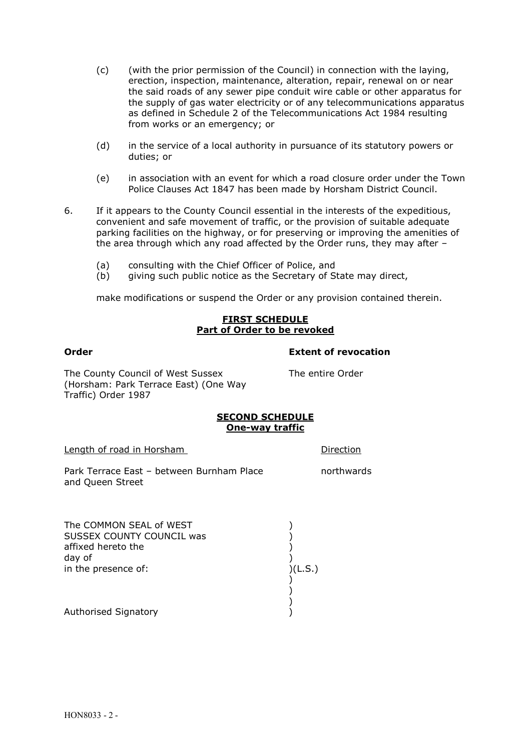- (c) (with the prior permission of the Council) in connection with the laying, erection, inspection, maintenance, alteration, repair, renewal on or near the said roads of any sewer pipe conduit wire cable or other apparatus for the supply of gas water electricity or of any telecommunications apparatus as defined in Schedule 2 of the Telecommunications Act 1984 resulting from works or an emergency; or
- (d) in the service of a local authority in pursuance of its statutory powers or duties; or
- (e) in association with an event for which a road closure order under the Town Police Clauses Act 1847 has been made by Horsham District Council.
- 6. If it appears to the County Council essential in the interests of the expeditious, convenient and safe movement of traffic, or the provision of suitable adequate parking facilities on the highway, or for preserving or improving the amenities of the area through which any road affected by the Order runs, they may after –
	- (a) consulting with the Chief Officer of Police, and
	- (b) giving such public notice as the Secretary of State may direct,

make modifications or suspend the Order or any provision contained therein.

# **FIRST SCHEDULE Part of Order to be revoked**

# **Order Extent of revocation**

The County Council of West Sussex The entire Order (Horsham: Park Terrace East) (One Way Traffic) Order 1987

# **SECOND SCHEDULE One-way traffic**

| Length of road in Horsham                                                                                   | Direction  |
|-------------------------------------------------------------------------------------------------------------|------------|
| Park Terrace East - between Burnham Place<br>and Queen Street                                               | northwards |
| The COMMON SEAL of WEST<br>SUSSEX COUNTY COUNCIL was<br>affixed hereto the<br>day of<br>in the presence of: | )(L.S.)    |
| Authorised Signatory                                                                                        |            |